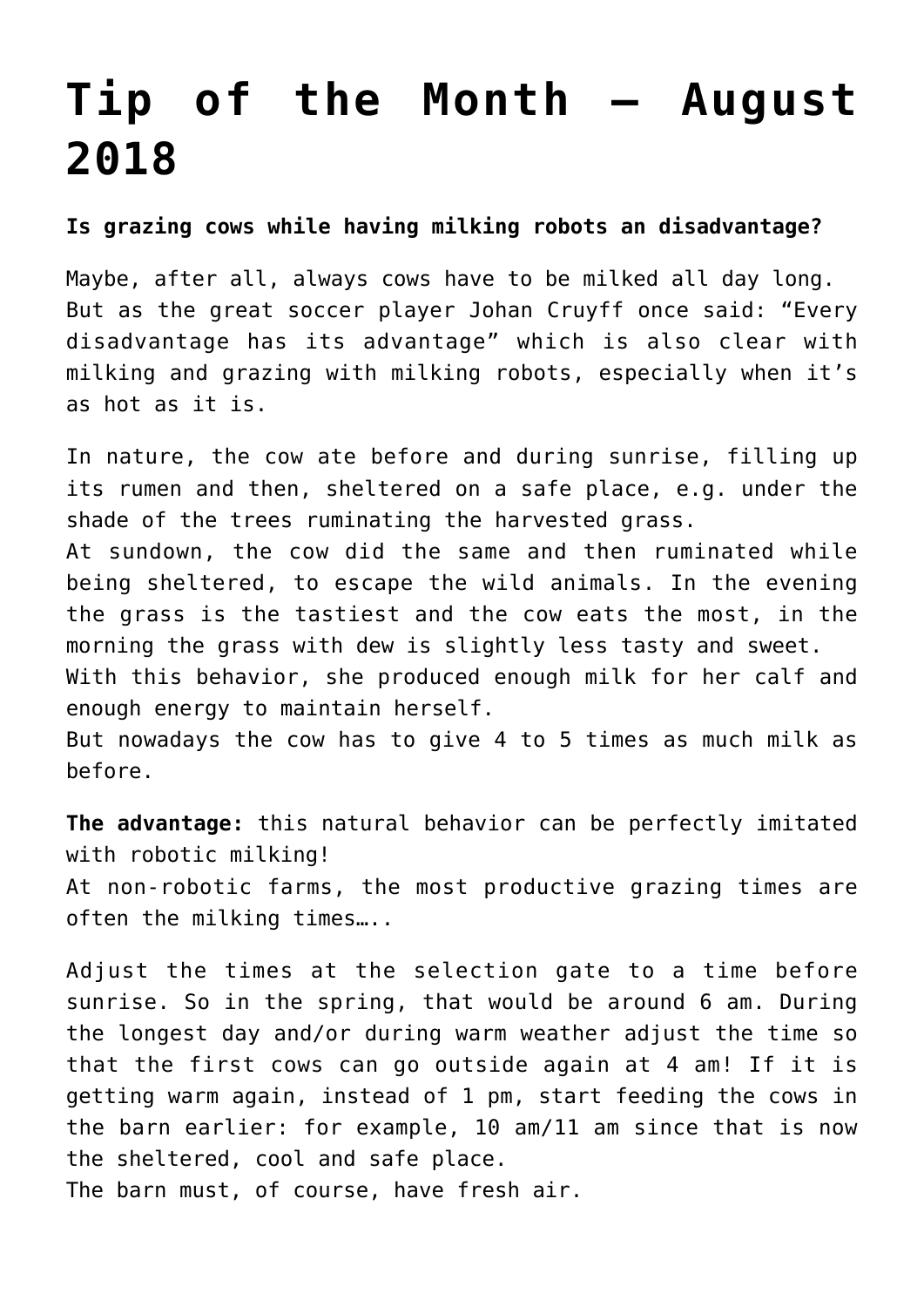## **[Tip of the Month – August](https://www.harrytuinier.nl/en/2018/08/01/tip-van-de-maand-augustus-2018/) [2018](https://www.harrytuinier.nl/en/2018/08/01/tip-van-de-maand-augustus-2018/)**

## **Is grazing cows while having milking robots an disadvantage?**

Maybe, after all, always cows have to be milked all day long. But as the great soccer player Johan Cruyff once said: "Every disadvantage has its advantage" which is also clear with milking and grazing with milking robots, especially when it's as hot as it is.

In nature, the cow ate before and during sunrise, filling up its rumen and then, sheltered on a safe place, e.g. under the shade of the trees ruminating the harvested grass. At sundown, the cow did the same and then ruminated while being sheltered, to escape the wild animals. In the evening the grass is the tastiest and the cow eats the most, in the morning the grass with dew is slightly less tasty and sweet. With this behavior, she produced enough milk for her calf and enough energy to maintain herself.

But nowadays the cow has to give 4 to 5 times as much milk as before.

**The advantage:** this natural behavior can be perfectly imitated with robotic milking! At non-robotic farms, the most productive grazing times are often the milking times…..

Adjust the times at the selection gate to a time before sunrise. So in the spring, that would be around 6 am. During the longest day and/or during warm weather adjust the time so that the first cows can go outside again at 4 am! If it is getting warm again, instead of 1 pm, start feeding the cows in the barn earlier: for example, 10 am/11 am since that is now the sheltered, cool and safe place.

The barn must, of course, have fresh air.